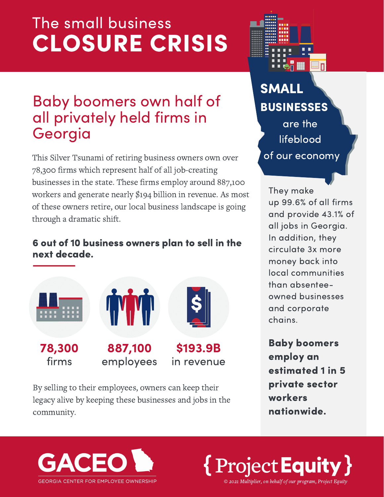# The small business CLOSURE CRISIS

### Baby boomers own half of all privately held firms in Georgia

This Silver Tsunami of retiring business owners own over 78,300 firms which represent half of all job-creating businesses in the state. These firms employ around 887,100 workers and generate nearly \$194 billion in revenue. As most of these owners retire, our local business landscape is going through a dramatic shift.

#### 6 out of 10 business owners plan to sell in the next decade.



By selling to their employees, owners can keep their legacy alive by keeping these businesses and jobs in the community.



## SMALL BUSINESSES are the

lifeblood of our economy

They make up 99.6% of all firms and provide 43.1% of all jobs in Georgia. In addition, they circulate 3x more money back into local communities than absenteeowned businesses and corporate chains.

Baby boomers employ an estimated 1 in 5 private sector workers nationwide.